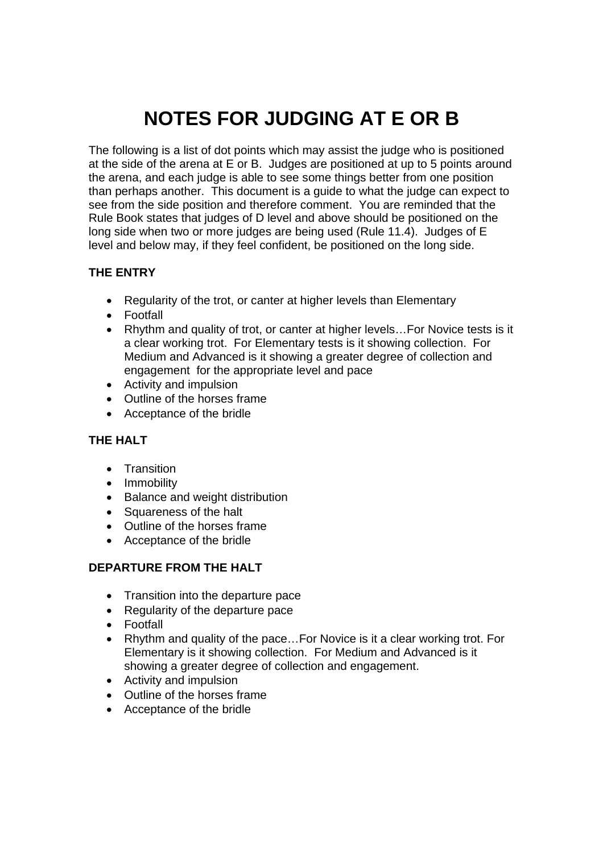# **NOTES FOR JUDGING AT E OR B**

The following is a list of dot points which may assist the judge who is positioned at the side of the arena at E or B. Judges are positioned at up to 5 points around the arena, and each judge is able to see some things better from one position than perhaps another. This document is a guide to what the judge can expect to see from the side position and therefore comment. You are reminded that the Rule Book states that judges of D level and above should be positioned on the long side when two or more judges are being used (Rule 11.4). Judges of E level and below may, if they feel confident, be positioned on the long side.

# **THE ENTRY**

- Regularity of the trot, or canter at higher levels than Elementary
- Footfall
- Rhythm and quality of trot, or canter at higher levels... For Novice tests is it a clear working trot. For Elementary tests is it showing collection. For Medium and Advanced is it showing a greater degree of collection and engagement for the appropriate level and pace
- Activity and impulsion
- Outline of the horses frame
- Acceptance of the bridle

#### **THE HALT**

- Transition
- Immobility
- Balance and weight distribution
- Squareness of the halt
- Outline of the horses frame
- Acceptance of the bridle

#### **DEPARTURE FROM THE HALT**

- Transition into the departure pace
- Regularity of the departure pace
- Footfall
- Rhythm and quality of the pace...For Novice is it a clear working trot. For Elementary is it showing collection. For Medium and Advanced is it showing a greater degree of collection and engagement.
- Activity and impulsion
- Outline of the horses frame
- Acceptance of the bridle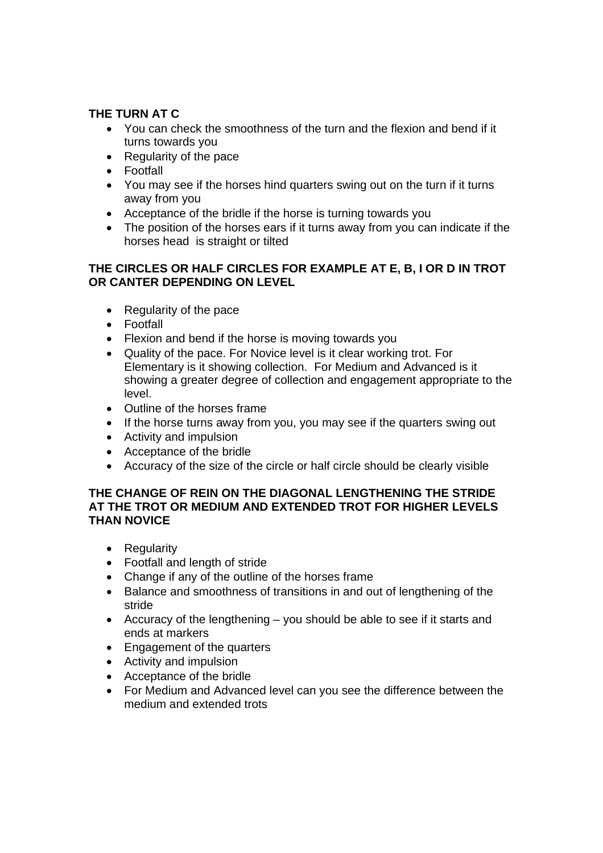# **THE TURN AT C**

- You can check the smoothness of the turn and the flexion and bend if it turns towards you
- Regularity of the pace
- Footfall
- You may see if the horses hind quarters swing out on the turn if it turns away from you
- Acceptance of the bridle if the horse is turning towards you
- The position of the horses ears if it turns away from you can indicate if the horses head is straight or tilted

#### **THE CIRCLES OR HALF CIRCLES FOR EXAMPLE AT E, B, I OR D IN TROT OR CANTER DEPENDING ON LEVEL**

- Regularity of the pace
- Footfall
- Flexion and bend if the horse is moving towards you
- Quality of the pace. For Novice level is it clear working trot. For Elementary is it showing collection. For Medium and Advanced is it showing a greater degree of collection and engagement appropriate to the level.
- Outline of the horses frame
- If the horse turns away from you, you may see if the quarters swing out
- Activity and impulsion
- Acceptance of the bridle
- Accuracy of the size of the circle or half circle should be clearly visible

#### **THE CHANGE OF REIN ON THE DIAGONAL LENGTHENING THE STRIDE AT THE TROT OR MEDIUM AND EXTENDED TROT FOR HIGHER LEVELS THAN NOVICE**

- Regularity
- Footfall and length of stride
- Change if any of the outline of the horses frame
- Balance and smoothness of transitions in and out of lengthening of the stride
- Accuracy of the lengthening you should be able to see if it starts and ends at markers
- Engagement of the quarters
- Activity and impulsion
- Acceptance of the bridle
- For Medium and Advanced level can you see the difference between the medium and extended trots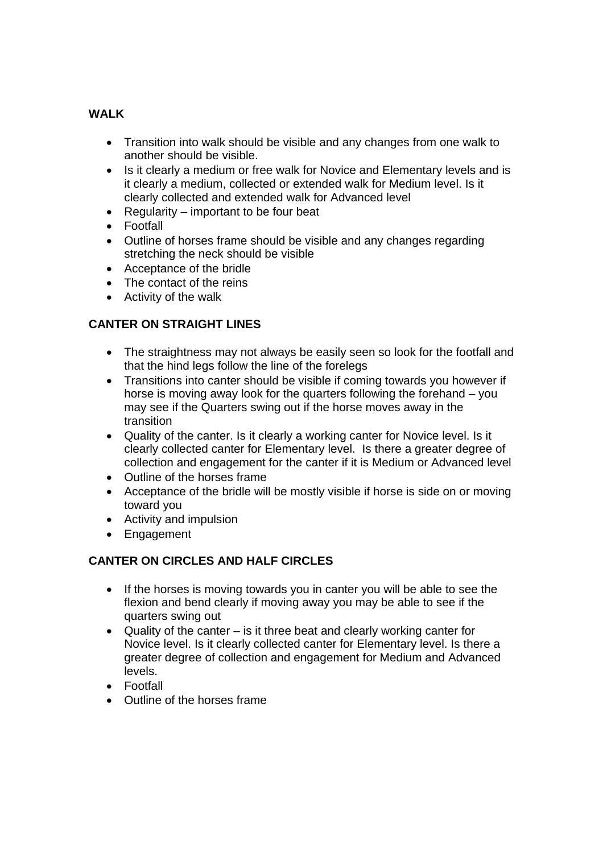# **WALK**

- Transition into walk should be visible and any changes from one walk to another should be visible.
- Is it clearly a medium or free walk for Novice and Elementary levels and is it clearly a medium, collected or extended walk for Medium level. Is it clearly collected and extended walk for Advanced level
- Regularity important to be four beat
- Footfall
- Outline of horses frame should be visible and any changes regarding stretching the neck should be visible
- Acceptance of the bridle
- The contact of the reins
- Activity of the walk

# **CANTER ON STRAIGHT LINES**

- The straightness may not always be easily seen so look for the footfall and that the hind legs follow the line of the forelegs
- Transitions into canter should be visible if coming towards you however if horse is moving away look for the quarters following the forehand – you may see if the Quarters swing out if the horse moves away in the transition
- Quality of the canter. Is it clearly a working canter for Novice level. Is it clearly collected canter for Elementary level. Is there a greater degree of collection and engagement for the canter if it is Medium or Advanced level
- Outline of the horses frame
- Acceptance of the bridle will be mostly visible if horse is side on or moving toward you
- Activity and impulsion
- Engagement

# **CANTER ON CIRCLES AND HALF CIRCLES**

- If the horses is moving towards you in canter you will be able to see the flexion and bend clearly if moving away you may be able to see if the quarters swing out
- Quality of the canter  $-$  is it three beat and clearly working canter for Novice level. Is it clearly collected canter for Elementary level. Is there a greater degree of collection and engagement for Medium and Advanced levels.
- Footfall
- Outline of the horses frame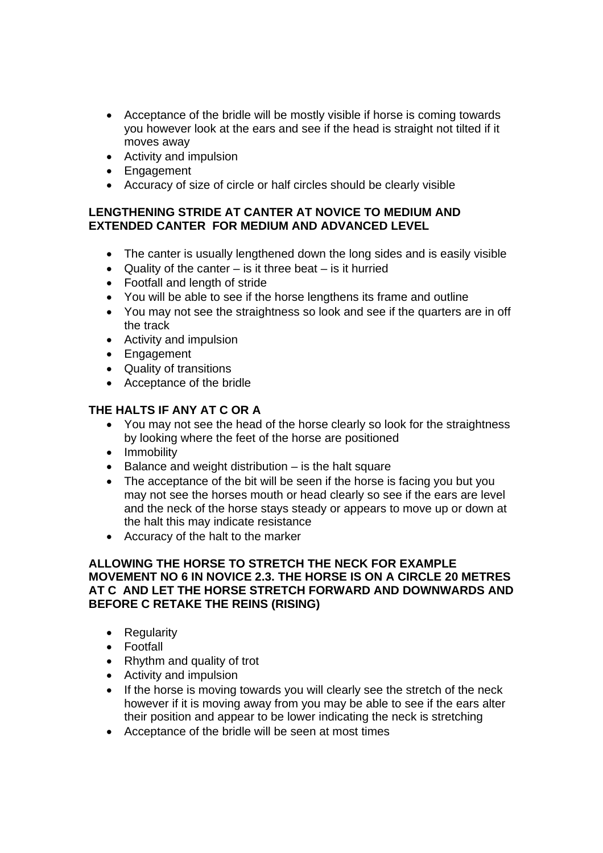- Acceptance of the bridle will be mostly visible if horse is coming towards you however look at the ears and see if the head is straight not tilted if it moves away
- Activity and impulsion
- Engagement
- Accuracy of size of circle or half circles should be clearly visible

#### **LENGTHENING STRIDE AT CANTER AT NOVICE TO MEDIUM AND EXTENDED CANTER FOR MEDIUM AND ADVANCED LEVEL**

- The canter is usually lengthened down the long sides and is easily visible
- Quality of the canter  $-$  is it three beat  $-$  is it hurried
- Footfall and length of stride
- You will be able to see if the horse lengthens its frame and outline
- You may not see the straightness so look and see if the quarters are in off the track
- Activity and impulsion
- Engagement
- Quality of transitions
- Acceptance of the bridle

# **THE HALTS IF ANY AT C OR A**

- You may not see the head of the horse clearly so look for the straightness by looking where the feet of the horse are positioned
- Immobility
- Balance and weight distribution is the halt square
- The acceptance of the bit will be seen if the horse is facing you but you may not see the horses mouth or head clearly so see if the ears are level and the neck of the horse stays steady or appears to move up or down at the halt this may indicate resistance
- Accuracy of the halt to the marker

#### **ALLOWING THE HORSE TO STRETCH THE NECK FOR EXAMPLE MOVEMENT NO 6 IN NOVICE 2.3. THE HORSE IS ON A CIRCLE 20 METRES AT C AND LET THE HORSE STRETCH FORWARD AND DOWNWARDS AND BEFORE C RETAKE THE REINS (RISING)**

- Regularity
- Footfall
- Rhythm and quality of trot
- Activity and impulsion
- If the horse is moving towards you will clearly see the stretch of the neck however if it is moving away from you may be able to see if the ears alter their position and appear to be lower indicating the neck is stretching
- Acceptance of the bridle will be seen at most times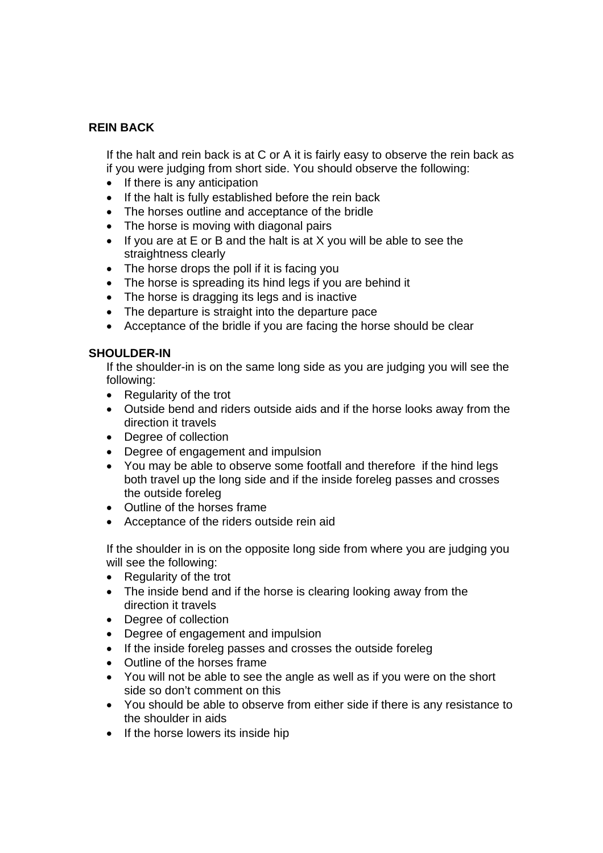#### **REIN BACK**

If the halt and rein back is at C or A it is fairly easy to observe the rein back as if you were judging from short side. You should observe the following:

- If there is any anticipation
- If the halt is fully established before the rein back
- The horses outline and acceptance of the bridle
- The horse is moving with diagonal pairs
- If you are at E or B and the halt is at X you will be able to see the straightness clearly
- The horse drops the poll if it is facing you
- The horse is spreading its hind legs if you are behind it
- The horse is dragging its legs and is inactive
- The departure is straight into the departure pace
- Acceptance of the bridle if you are facing the horse should be clear

#### **SHOULDER-IN**

If the shoulder-in is on the same long side as you are judging you will see the following:

- Regularity of the trot
- Outside bend and riders outside aids and if the horse looks away from the direction it travels
- Degree of collection
- Degree of engagement and impulsion
- You may be able to observe some footfall and therefore if the hind legs both travel up the long side and if the inside foreleg passes and crosses the outside foreleg
- Outline of the horses frame
- Acceptance of the riders outside rein aid

If the shoulder in is on the opposite long side from where you are judging you will see the following:

- Regularity of the trot
- The inside bend and if the horse is clearing looking away from the direction it travels
- Degree of collection
- Degree of engagement and impulsion
- If the inside foreleg passes and crosses the outside foreleg
- Outline of the horses frame
- You will not be able to see the angle as well as if you were on the short side so don't comment on this
- You should be able to observe from either side if there is any resistance to the shoulder in aids
- If the horse lowers its inside hip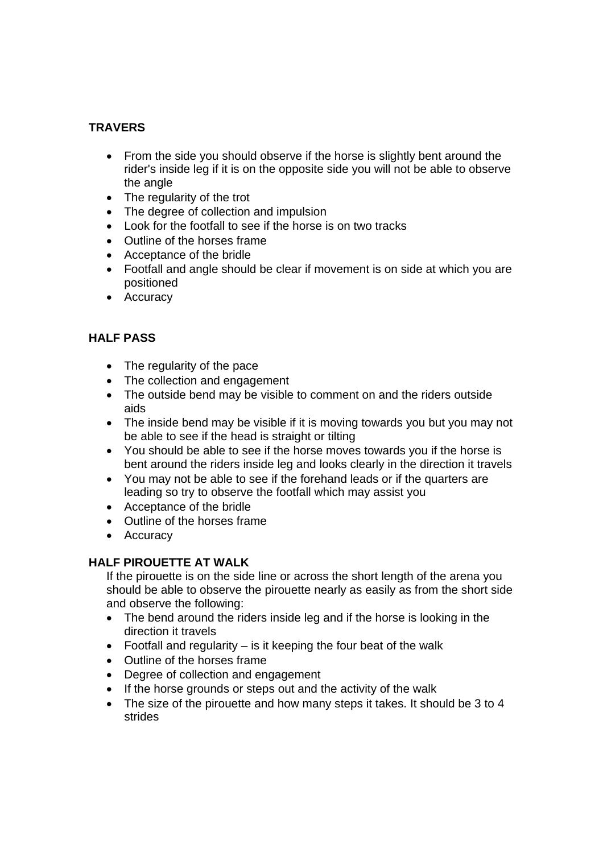# **TRAVERS**

- From the side you should observe if the horse is slightly bent around the rider's inside leg if it is on the opposite side you will not be able to observe the angle
- The regularity of the trot
- The degree of collection and impulsion
- Look for the footfall to see if the horse is on two tracks
- Outline of the horses frame
- Acceptance of the bridle
- Footfall and angle should be clear if movement is on side at which you are positioned
- Accuracy

# **HALF PASS**

- The regularity of the pace
- The collection and engagement
- The outside bend may be visible to comment on and the riders outside aids
- The inside bend may be visible if it is moving towards you but you may not be able to see if the head is straight or tilting
- You should be able to see if the horse moves towards you if the horse is bent around the riders inside leg and looks clearly in the direction it travels
- You may not be able to see if the forehand leads or if the quarters are leading so try to observe the footfall which may assist you
- Acceptance of the bridle
- Outline of the horses frame
- Accuracy

#### **HALF PIROUETTE AT WALK**

If the pirouette is on the side line or across the short length of the arena you should be able to observe the pirouette nearly as easily as from the short side and observe the following:

- The bend around the riders inside leg and if the horse is looking in the direction it travels
- Footfall and regularity  $-$  is it keeping the four beat of the walk
- Outline of the horses frame
- Degree of collection and engagement
- If the horse grounds or steps out and the activity of the walk
- The size of the pirouette and how many steps it takes. It should be 3 to 4 strides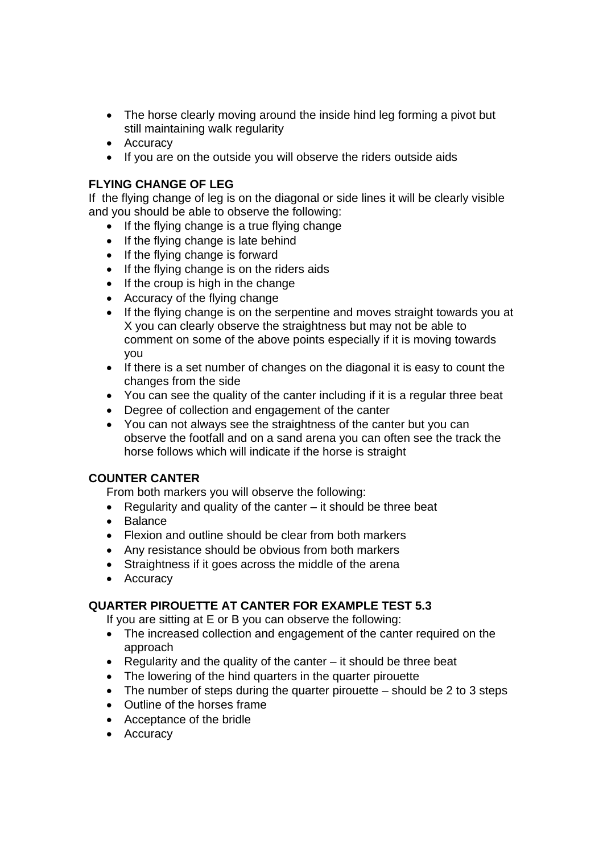- The horse clearly moving around the inside hind leg forming a pivot but still maintaining walk regularity
- Accuracy
- If you are on the outside you will observe the riders outside aids

# **FLYING CHANGE OF LEG**

If the flying change of leg is on the diagonal or side lines it will be clearly visible and you should be able to observe the following:

- If the flying change is a true flying change
- If the flying change is late behind
- If the flying change is forward
- If the flying change is on the riders aids
- If the croup is high in the change
- Accuracy of the flying change
- If the flying change is on the serpentine and moves straight towards you at X you can clearly observe the straightness but may not be able to comment on some of the above points especially if it is moving towards you
- If there is a set number of changes on the diagonal it is easy to count the changes from the side
- You can see the quality of the canter including if it is a regular three beat
- Degree of collection and engagement of the canter
- You can not always see the straightness of the canter but you can observe the footfall and on a sand arena you can often see the track the horse follows which will indicate if the horse is straight

#### **COUNTER CANTER**

From both markers you will observe the following:

- Regularity and quality of the canter it should be three beat
- Balance
- Flexion and outline should be clear from both markers
- Any resistance should be obvious from both markers
- Straightness if it goes across the middle of the arena
- Accuracy

#### **QUARTER PIROUETTE AT CANTER FOR EXAMPLE TEST 5.3**

If you are sitting at E or B you can observe the following:

- The increased collection and engagement of the canter required on the approach
- Regularity and the quality of the canter  $-$  it should be three beat
- The lowering of the hind quarters in the quarter pirouette
- The number of steps during the quarter pirouette should be 2 to 3 steps
- Outline of the horses frame
- Acceptance of the bridle
- Accuracy